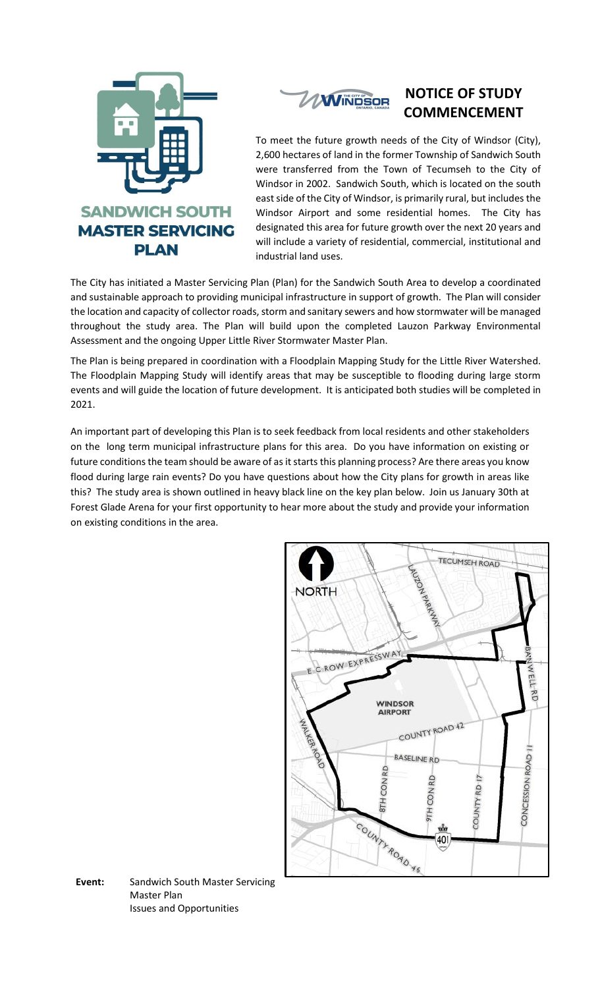



## **NOTICE OF STUDY COMMENCEMENT**

To meet the future growth needs of the City of Windsor (City), 2,600 hectares of land in the former Township of Sandwich South were transferred from the Town of Tecumseh to the City of Windsor in 2002. Sandwich South, which is located on the south east side of the City of Windsor, is primarily rural, but includes the Windsor Airport and some residential homes. The City has designated this area for future growth over the next 20 years and will include a variety of residential, commercial, institutional and industrial land uses.

The City has initiated a Master Servicing Plan (Plan) for the Sandwich South Area to develop a coordinated and sustainable approach to providing municipal infrastructure in support of growth. The Plan will consider the location and capacity of collector roads, storm and sanitary sewers and how stormwater will be managed throughout the study area. The Plan will build upon the completed Lauzon Parkway Environmental Assessment and the ongoing Upper Little River Stormwater Master Plan.

The Plan is being prepared in coordination with a Floodplain Mapping Study for the Little River Watershed. The Floodplain Mapping Study will identify areas that may be susceptible to flooding during large storm events and will guide the location of future development. It is anticipated both studies will be completed in 2021.

An important part of developing this Plan is to seek feedback from local residents and other stakeholders on the long term municipal infrastructure plans for this area. Do you have information on existing or future conditions the team should be aware of as it starts this planning process? Are there areas you know flood during large rain events? Do you have questions about how the City plans for growth in areas like this? The study area is shown outlined in heavy black line on the key plan below. Join us January 30th at Forest Glade Arena for your first opportunity to hear more about the study and provide your information on existing conditions in the area.



**Event:** Sandwich South Master Servicing Master Plan Issues and Opportunities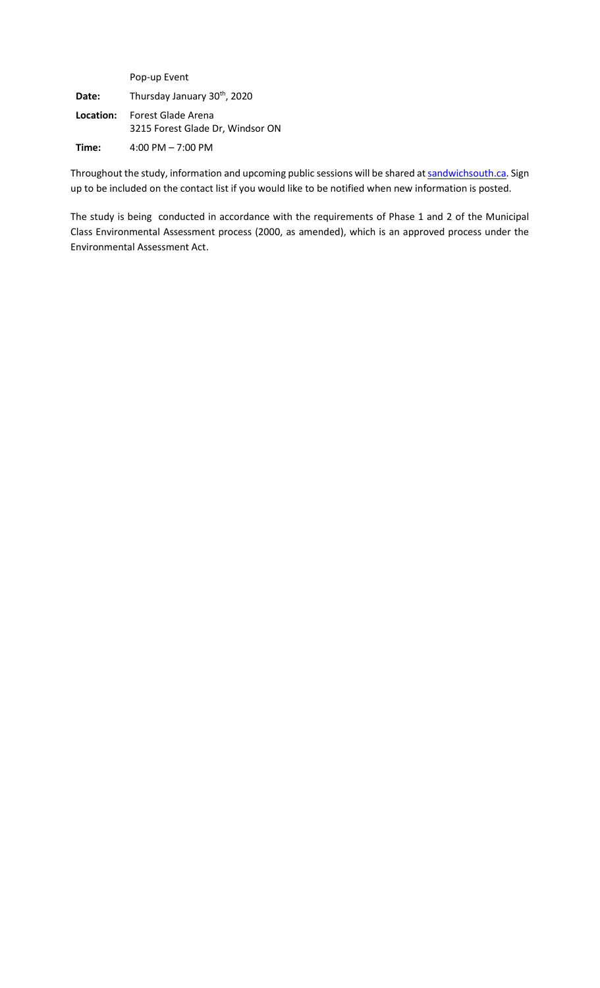|           | Pop-up Event                                           |
|-----------|--------------------------------------------------------|
| Date:     | Thursday January 30th, 2020                            |
| Location: | Forest Glade Arena<br>3215 Forest Glade Dr, Windsor ON |
| Time:     | 4:00 PM $- 7:00$ PM                                    |

Throughout the study, information and upcoming public sessions will be shared a[t sandwichsouth.ca.](mailto:pwinters@citywindsor.ca) Sign up to be included on the contact list if you would like to be notified when new information is posted.

The study is being conducted in accordance with the requirements of Phase 1 and 2 of the Municipal Class Environmental Assessment process (2000, as amended), which is an approved process under the Environmental Assessment Act.